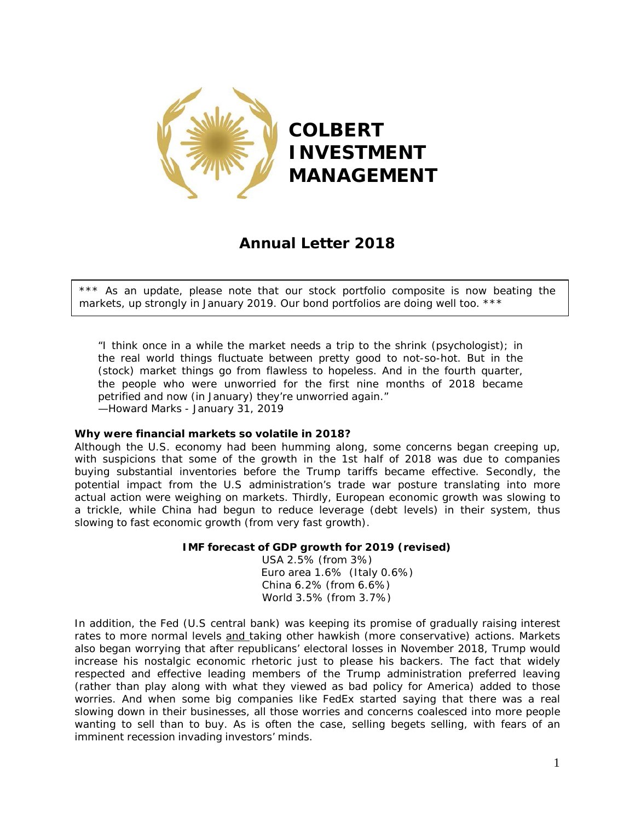

# **Annual Letter 2018**

\*\*\* As an update, please note that our stock portfolio composite is now beating the markets, up strongly in January 2019. Our bond portfolios are doing well too. \*\*\*

*"I think once in a while the market needs a trip to the shrink (psychologist); in the real world things fluctuate between pretty good to not-so-hot. But in the (stock) market things go from flawless to hopeless. And in the fourth quarter, the people who were unworried for the first nine months of 2018 became petrified and now (in January) they're unworried again." —Howard Marks - January 31, 2019*

# **Why were financial markets so volatile in 2018?**

Although the U.S. economy had been humming along, some concerns began creeping up, with suspicions that some of the growth in the 1st half of 2018 was due to companies buying substantial inventories before the Trump tariffs became effective. Secondly, the potential impact from the U.S administration's trade war posture translating into more actual action were weighing on markets. Thirdly, European economic growth was slowing to a trickle, while China had begun to reduce leverage (debt levels) in their system, thus slowing to fast economic growth (from *very* fast growth).

# **IMF forecast of GDP growth for 2019 (revised)**

USA 2.5% (from 3%) Euro area 1.6% (Italy 0.6%) China 6.2% (from 6.6%) World 3.5% (from 3.7%)

In addition, the Fed (U.S central bank) was keeping its promise of gradually raising interest rates to more normal levels and taking other hawkish (more conservative) actions. Markets also began worrying that after republicans' electoral losses in November 2018, Trump would increase his nostalgic economic rhetoric just to please his backers. The fact that widely respected and effective leading members of the Trump administration preferred leaving (rather than play along with what they viewed as bad policy for America) added to those worries. And when some big companies like FedEx started saying that there was a real slowing down in their businesses, all those worries and concerns coalesced into more people wanting to sell than to buy. As is often the case, selling begets selling, with fears of an imminent recession invading investors' minds.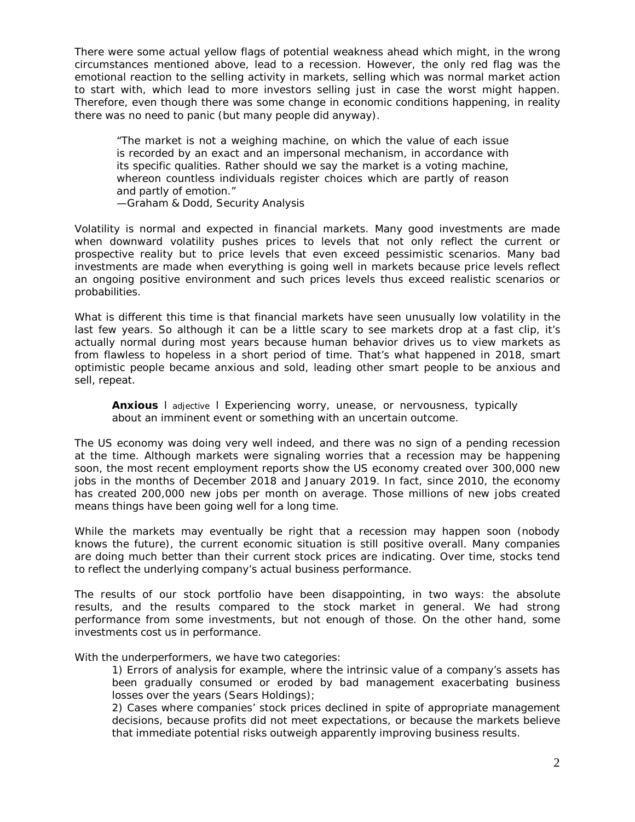There were some actual yellow flags of potential weakness ahead which might, in the wrong circumstances mentioned above, lead to a recession. However, the only *red* flag was the emotional reaction to the selling activity in markets, selling which was normal market action to start with, which lead to more investors selling just in case the worst might happen. Therefore, even though there was some change in economic conditions happening, in reality there was no need to panic (but many people did anyway).

*"The market is not a weighing machine, on which the value of each issue is recorded by an exact and an impersonal mechanism, in accordance with its specific qualities. Rather should we say the market is a voting machine, whereon countless individuals register choices which are partly of reason and partly of emotion." —Graham & Dodd, Security Analysis*

Volatility is normal and expected in financial markets. Many good investments are made when downward volatility pushes prices to levels that not only reflect the current or prospective reality but to price levels that even exceed pessimistic scenarios. Many bad investments are made when everything is going well in markets because price levels reflect an ongoing positive environment and such prices levels thus exceed realistic scenarios or probabilities.

What is different this time is that financial markets have seen unusually low volatility in the last few years. So although it can be a little scary to see markets drop at a fast clip, it's actually normal during most years because human behavior drives us to view markets as from flawless to hopeless in a short period of time. That's what happened in 2018, smart optimistic people became anxious and sold, leading other smart people to be anxious and sell, repeat.

*Anxious l adjective l Experiencing worry, unease, or nervousness, typically about an imminent event or something with an uncertain outcome.*

The US economy was doing very well indeed, and there was no sign of a pending recession at the time. Although markets were signaling worries that a recession may be happening soon, the most recent employment reports show the US economy created over 300,000 new jobs in the months of December 2018 and January 2019. In fact, since 2010, the economy has created 200,000 new jobs per month on average. Those millions of new jobs created means things have been going well for a long time.

While the markets may eventually be right that a recession may happen soon (nobody knows the future), the current economic situation is still positive overall. Many companies are doing much better than their current stock prices are indicating. Over time, stocks tend to reflect the underlying company's actual business performance.

The results of our stock portfolio have been disappointing, in two ways: the absolute results, and the results compared to the stock market in general. We had strong performance from some investments, but not enough of those. On the other hand, some investments cost us in performance.

With the underperformers, we have two categories:

1) Errors of analysis for example, where the intrinsic value of a company's assets has been gradually consumed or eroded by bad management exacerbating business losses over the years (Sears Holdings);

2) Cases where companies' stock prices declined *in spite of* appropriate management decisions, because profits did not meet expectations, or because the markets believe that immediate potential risks outweigh apparently improving business results.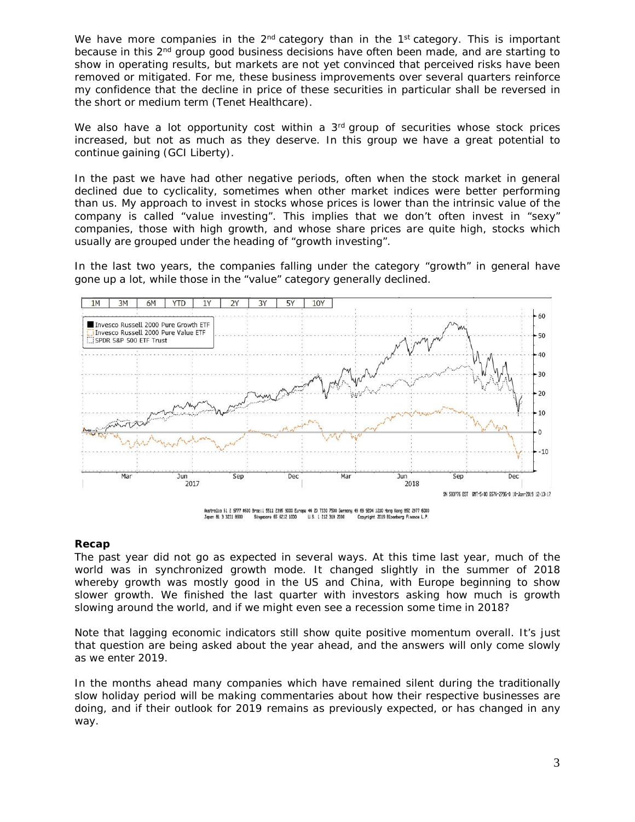We have more companies in the  $2^{nd}$  category than in the  $1<sup>st</sup>$  category. This is important because in this  $2<sup>nd</sup>$  group good business decisions have often been made, and are starting to show in operating results, but markets are not yet convinced that perceived risks have been removed or mitigated. For me, these business improvements over several quarters reinforce my confidence that the decline in price of these securities in particular shall be reversed in the short or medium term (Tenet Healthcare).

We also have a lot opportunity cost within a  $3<sup>rd</sup>$  group of securities whose stock prices increased, but not as much as they deserve. In this group we have a great potential to continue gaining (GCI Liberty).

In the past we have had other negative periods, often when the stock market in general declined due to cyclicality, sometimes when other market indices were better performing than us. My approach to invest in stocks whose prices is lower than the intrinsic value of the company is called "value investing". This implies that we don't often invest in "sexy" companies, those with high growth, and whose share prices are quite high, stocks which usually are grouped under the heading of "growth investing".

In the last two years, the companies falling under the category "growth" in general have gone up a lot, while those in the "value" category generally declined.



#### **Recap**

The past year did not go as expected in several ways. At this time last year, much of the world was in synchronized growth mode. It changed slightly in the summer of 2018 whereby growth was mostly good in the US and China, with Europe beginning to show slower growth. We finished the last quarter with investors asking how much is growth slowing around the world, and if we might even see a recession some time in 2018?

Note that lagging economic indicators still show quite positive momentum overall. It's just that question are being asked about the year ahead, and the answers will only come slowly as we enter 2019.

In the months ahead many companies which have remained silent during the traditionally slow holiday period will be making commentaries about how their respective businesses are doing, and if their outlook for 2019 remains as previously expected, or has changed in any way.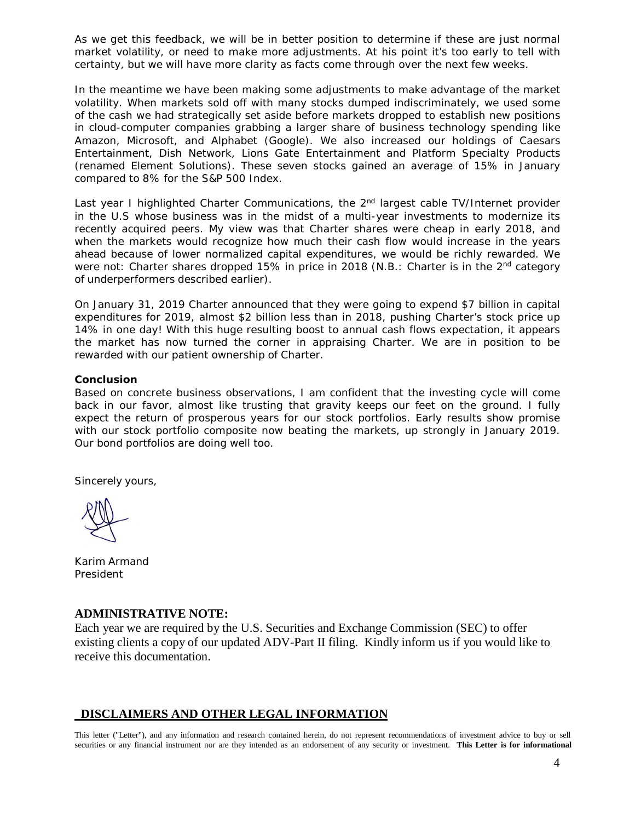As we get this feedback, we will be in better position to determine if these are just normal market volatility, or need to make more adjustments. At his point it's too early to tell with certainty, but we will have more clarity as facts come through over the next few weeks.

In the meantime we have been making some adjustments to make advantage of the market volatility. When markets sold off with many stocks dumped indiscriminately, we used some of the cash we had strategically set aside before markets dropped to establish new positions in cloud-computer companies grabbing a larger share of business technology spending like Amazon, Microsoft, and Alphabet (Google). We also increased our holdings of Caesars Entertainment, Dish Network, Lions Gate Entertainment and Platform Specialty Products (renamed Element Solutions). These seven stocks gained an average of 15% in January compared to 8% for the S&P 500 Index.

Last year I highlighted Charter Communications, the 2<sup>nd</sup> largest cable TV/Internet provider in the U.S whose business was in the midst of a multi-year investments to modernize its recently acquired peers. My view was that Charter shares were cheap in early 2018, and when the markets would recognize how much their cash flow would increase in the years ahead because of lower normalized capital expenditures, we would be richly rewarded. We were not: Charter shares dropped 15% in price in 2018 (N.B.: Charter is in the  $2<sup>nd</sup>$  category of underperformers described earlier).

On January 31, 2019 Charter announced that they were going to expend \$7 billion in capital expenditures for 2019, almost \$2 billion less than in 2018, pushing Charter's stock price up 14% in one day! With this huge resulting boost to annual cash flows expectation, it appears the market has now turned the corner in appraising Charter. We are in position to be rewarded with our patient ownership of Charter.

### **Conclusion**

Based on concrete business observations, I am confident that the investing cycle will come back in our favor, almost like trusting that gravity keeps our feet on the ground. I fully expect the return of prosperous years for our stock portfolios. Early results show promise with our stock portfolio composite now beating the markets, up strongly in January 2019. Our bond portfolios are doing well too.

Sincerely yours,

Karim Armand President

# **ADMINISTRATIVE NOTE:**

Each year we are required by the U.S. Securities and Exchange Commission (SEC) to offer existing clients a copy of our updated ADV-Part II filing. Kindly inform us if you would like to receive this documentation.

# **DISCLAIMERS AND OTHER LEGAL INFORMATION**

This letter ("Letter"), and any information and research contained herein, do not represent recommendations of investment advice to buy or sell securities or any financial instrument nor are they intended as an endorsement of any security or investment. **This Letter is for informational**